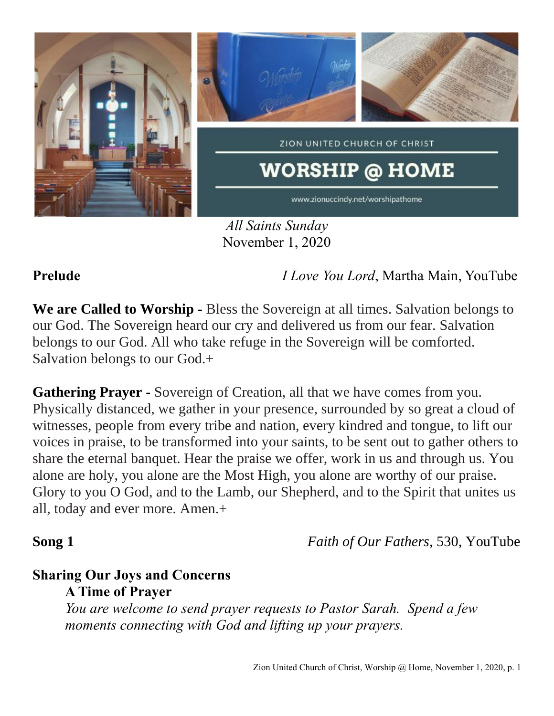

*All Saints Sunday* November 1, 2020

**Prelude** *I Love You Lord*, Martha Main, YouTube

**We are Called to Worship** - Bless the Sovereign at all times. Salvation belongs to our God. The Sovereign heard our cry and delivered us from our fear. Salvation belongs to our God. All who take refuge in the Sovereign will be comforted. Salvation belongs to our God.+

**Gathering Prayer** - Sovereign of Creation, all that we have comes from you. Physically distanced, we gather in your presence, surrounded by so great a cloud of witnesses, people from every tribe and nation, every kindred and tongue, to lift our voices in praise, to be transformed into your saints, to be sent out to gather others to share the eternal banquet. Hear the praise we offer, work in us and through us. You alone are holy, you alone are the Most High, you alone are worthy of our praise. Glory to you O God, and to the Lamb, our Shepherd, and to the Spirit that unites us all, today and ever more. Amen.+

**Song 1** *Faith of Our Fathers,* 530, YouTube

### **Sharing Our Joys and Concerns A Time of Prayer**

*You are welcome to send prayer requests to Pastor Sarah. Spend a few moments connecting with God and lifting up your prayers.*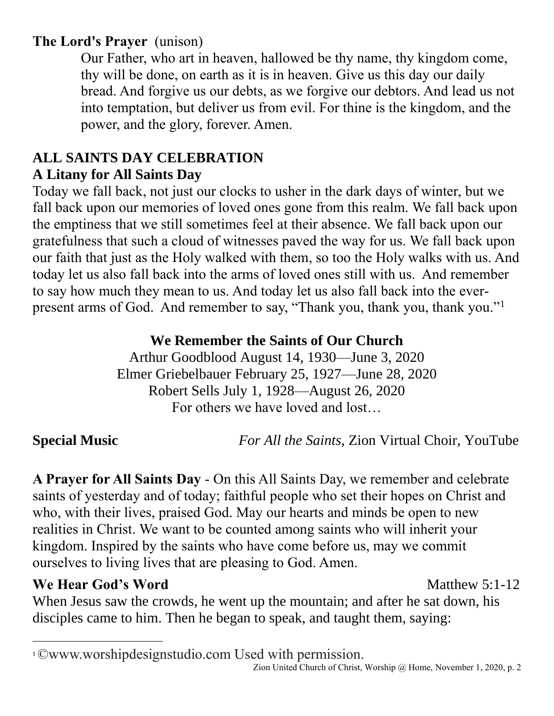## **The Lord's Prayer** (unison)

Our Father, who art in heaven, hallowed be thy name, thy kingdom come, thy will be done, on earth as it is in heaven. Give us this day our daily bread. And forgive us our debts, as we forgive our debtors. And lead us not into temptation, but deliver us from evil. For thine is the kingdom, and the power, and the glory, forever. Amen.

### **ALL SAINTS DAY CELEBRATION A Litany for All Saints Day**

Today we fall back, not just our clocks to usher in the dark days of winter, but we fall back upon our memories of loved ones gone from this realm. We fall back upon the emptiness that we still sometimes feel at their absence. We fall back upon our gratefulness that such a cloud of witnesses paved the way for us. We fall back upon our faith that just as the Holy walked with them, so too the Holy walks with us. And today let us also fall back into the arms of loved ones still with us. And remember to say how much they mean to us. And today let us also fall back into the everpresent arms of God. And remember to say, "Thank you, thank you, thank you."<sup>1</sup>

### **We Remember the Saints of Our Church**

Arthur Goodblood August 14, 1930—June 3, 2020 Elmer Griebelbauer February 25, 1927—June 28, 2020 Robert Sells July 1, 1928—August 26, 2020 For others we have loved and lost…

**Special Music** *For All the Saints,* Zion Virtual Choir, YouTube

**A Prayer for All Saints Day** - On this All Saints Day, we remember and celebrate saints of yesterday and of today; faithful people who set their hopes on Christ and who, with their lives, praised God. May our hearts and minds be open to new realities in Christ. We want to be counted among saints who will inherit your kingdom. Inspired by the saints who have come before us, may we commit ourselves to living lives that are pleasing to God. Amen.

## **We Hear God's Word** Matthew 5:1-12

When Jesus saw the crowds, he went up the mountain; and after he sat down, his disciples came to him. Then he began to speak, and taught them, saying:

<sup>1</sup>©www.worshipdesignstudio.com Used with permission.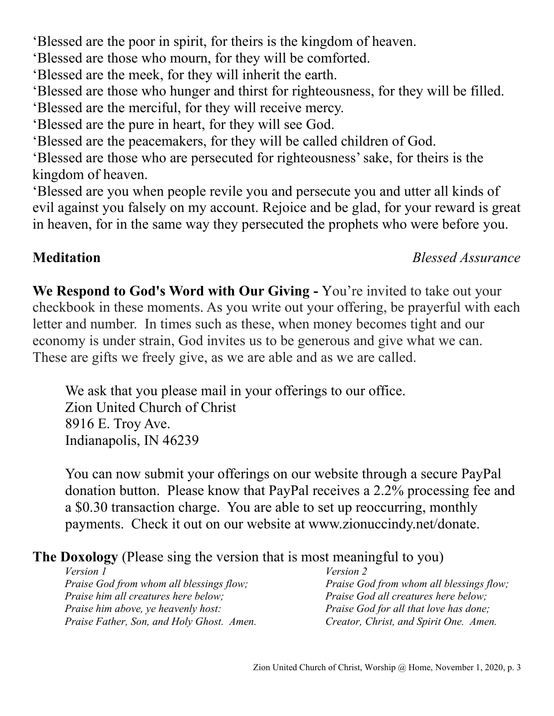'Blessed are the poor in spirit, for theirs is the kingdom of heaven.

'Blessed are those who mourn, for they will be comforted.

'Blessed are the meek, for they will inherit the earth.

'Blessed are those who hunger and thirst for righteousness, for they will be filled.

'Blessed are the merciful, for they will receive mercy.

'Blessed are the pure in heart, for they will see God.

'Blessed are the peacemakers, for they will be called children of God.

'Blessed are those who are persecuted for righteousness' sake, for theirs is the kingdom of heaven.

'Blessed are you when people revile you and persecute you and utter all kinds of evil against you falsely on my account. Rejoice and be glad, for your reward is great in heaven, for in the same way they persecuted the prophets who were before you.

### **Meditation** *Blessed Assurance*

**We Respond to God's Word with Our Giving -** You're invited to take out your checkbook in these moments. As you write out your offering, be prayerful with each letter and number. In times such as these, when money becomes tight and our economy is under strain, God invites us to be generous and give what we can. These are gifts we freely give, as we are able and as we are called.

We ask that you please mail in your offerings to our office. Zion United Church of Christ 8916 E. Troy Ave. Indianapolis, IN 46239

You can now submit your offerings on our website through a secure PayPal donation button. Please know that PayPal receives a 2.2% processing fee and a \$0.30 transaction charge. You are able to set up reoccurring, monthly payments. Check it out on our website at www.zionuccindy.net/donate.

## **The Doxology** (Please sing the version that is most meaningful to you)

*Version 1 Praise God from whom all blessings flow; Praise him all creatures here below; Praise him above, ye heavenly host: Praise Father, Son, and Holy Ghost. Amen.* *Version 2 Praise God from whom all blessings flow; Praise God all creatures here below; Praise God for all that love has done; Creator, Christ, and Spirit One. Amen.*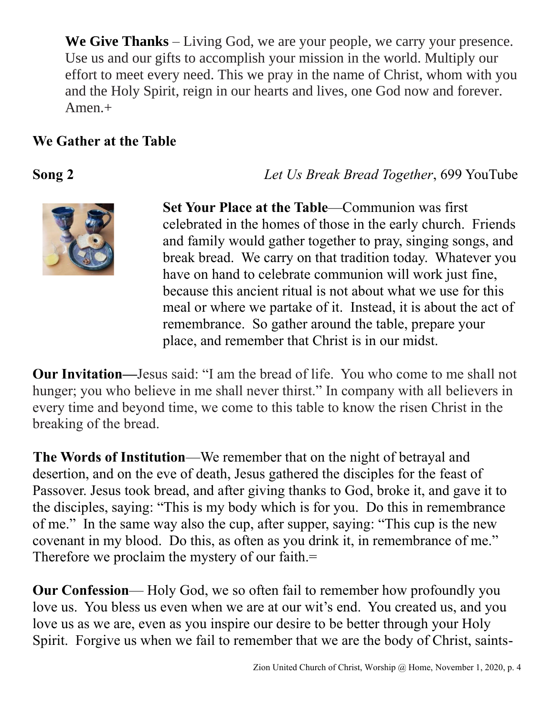**We Give Thanks** – Living God, we are your people, we carry your presence. Use us and our gifts to accomplish your mission in the world. Multiply our effort to meet every need. This we pray in the name of Christ, whom with you and the Holy Spirit, reign in our hearts and lives, one God now and forever. Amen.+

### **We Gather at the Table**

**Song 2** *Let Us Break Bread Together*, 699 YouTube



**Set Your Place at the Table**—Communion was first celebrated in the homes of those in the early church. Friends and family would gather together to pray, singing songs, and break bread. We carry on that tradition today. Whatever you have on hand to celebrate communion will work just fine, because this ancient ritual is not about what we use for this meal or where we partake of it. Instead, it is about the act of remembrance. So gather around the table, prepare your place, and remember that Christ is in our midst.

**Our Invitation—**Jesus said: "I am the bread of life. You who come to me shall not hunger; you who believe in me shall never thirst." In company with all believers in every time and beyond time, we come to this table to know the risen Christ in the breaking of the bread.

**The Words of Institution**—We remember that on the night of betrayal and desertion, and on the eve of death, Jesus gathered the disciples for the feast of Passover. Jesus took bread, and after giving thanks to God, broke it, and gave it to the disciples, saying: "This is my body which is for you. Do this in remembrance of me." In the same way also the cup, after supper, saying: "This cup is the new covenant in my blood. Do this, as often as you drink it, in remembrance of me." Therefore we proclaim the mystery of our faith.=

**Our Confession**— Holy God, we so often fail to remember how profoundly you love us. You bless us even when we are at our wit's end. You created us, and you love us as we are, even as you inspire our desire to be better through your Holy Spirit. Forgive us when we fail to remember that we are the body of Christ, saints-